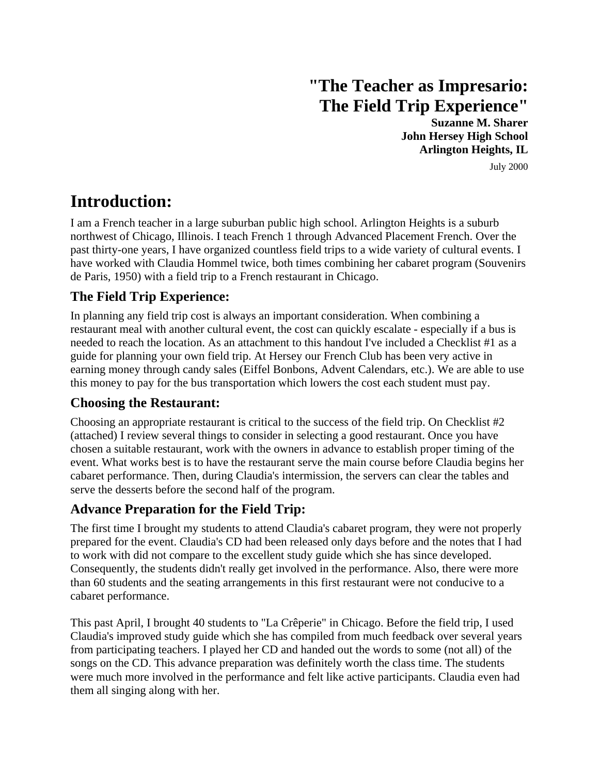# **"The Teacher as Impresario: The Field Trip Experience"**

**Suzanne M. Sharer John Hersey High School Arlington Heights, IL** July 2000

## **Introduction:**

I am a French teacher in a large suburban public high school. Arlington Heights is a suburb northwest of Chicago, Illinois. I teach French 1 through Advanced Placement French. Over the past thirty-one years, I have organized countless field trips to a wide variety of cultural events. I have worked with Claudia Hommel twice, both times combining her cabaret program (Souvenirs de Paris, 1950) with a field trip to a French restaurant in Chicago.

## **The Field Trip Experience:**

In planning any field trip cost is always an important consideration. When combining a restaurant meal with another cultural event, the cost can quickly escalate - especially if a bus is needed to reach the location. As an attachment to this handout I've included a Checklist #1 as a guide for planning your own field trip. At Hersey our French Club has been very active in earning money through candy sales (Eiffel Bonbons, Advent Calendars, etc.). We are able to use this money to pay for the bus transportation which lowers the cost each student must pay.

## **Choosing the Restaurant:**

Choosing an appropriate restaurant is critical to the success of the field trip. On Checklist #2 (attached) I review several things to consider in selecting a good restaurant. Once you have chosen a suitable restaurant, work with the owners in advance to establish proper timing of the event. What works best is to have the restaurant serve the main course before Claudia begins her cabaret performance. Then, during Claudia's intermission, the servers can clear the tables and serve the desserts before the second half of the program.

## **Advance Preparation for the Field Trip:**

The first time I brought my students to attend Claudia's cabaret program, they were not properly prepared for the event. Claudia's CD had been released only days before and the notes that I had to work with did not compare to the excellent study guide which she has since developed. Consequently, the students didn't really get involved in the performance. Also, there were more than 60 students and the seating arrangements in this first restaurant were not conducive to a cabaret performance.

This past April, I brought 40 students to "La Crêperie" in Chicago. Before the field trip, I used Claudia's improved study guide which she has compiled from much feedback over several years from participating teachers. I played her CD and handed out the words to some (not all) of the songs on the CD. This advance preparation was definitely worth the class time. The students were much more involved in the performance and felt like active participants. Claudia even had them all singing along with her.